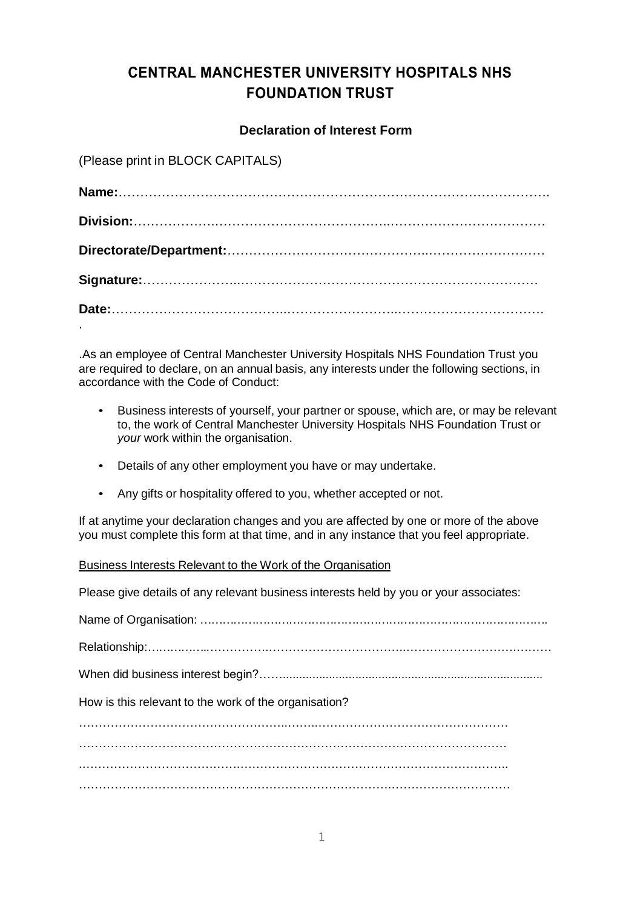# **CENTRAL MANCHESTER UNIVERSITY HOSPITALS NHS FOUNDATION TRUST**

### **Declaration of Interest Form**

(Please print in BLOCK CAPITALS)

.As an employee of Central Manchester University Hospitals NHS Foundation Trust you are required to declare, on an annual basis, any interests under the following sections, in accordance with the Code of Conduct:

- Business interests of yourself, your partner or spouse, which are, or may be relevant to, the work of Central Manchester University Hospitals NHS Foundation Trust or *your* work within the organisation.
- Details of any other employment you have or may undertake.
- Any gifts or hospitality offered to you, whether accepted or not.

If at anytime your declaration changes and you are affected by one or more of the above you must complete this form at that time, and in any instance that you feel appropriate.

#### Business Interests Relevant to the Work of the Organisation

Please give details of any relevant business interests held by you or your associates:

| How is this relevant to the work of the organisation? |
|-------------------------------------------------------|
|                                                       |
|                                                       |
|                                                       |
|                                                       |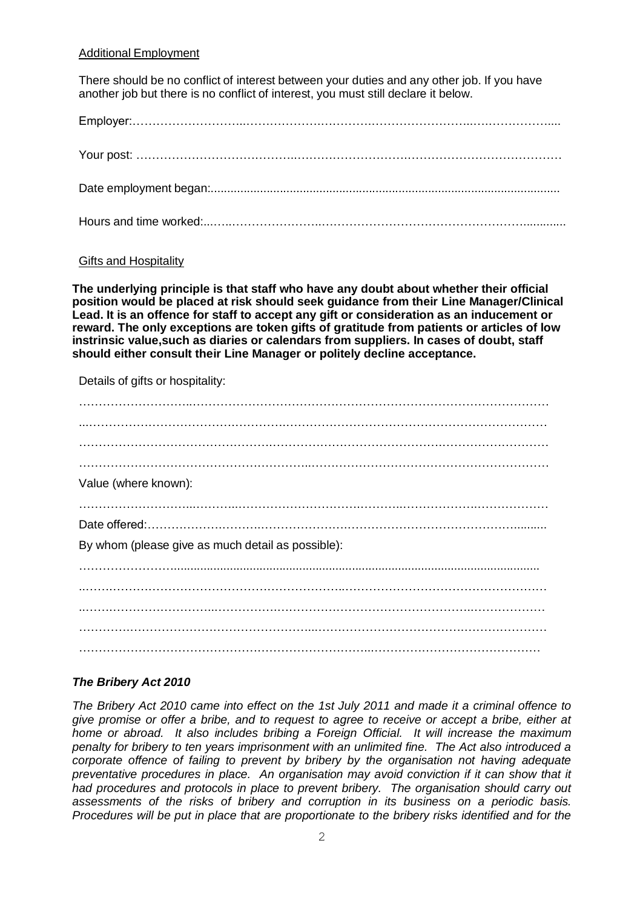#### Additional Employment

There should be no conflict of interest between your duties and any other job. If you have another job but there is no conflict of interest, you must still declare it below.

Employer:………………………..……………….………….……………………..….……………....

Your post: …………………………………..……………………….………………………………… Date employment began:.......................................................................................................... Hours and time worked:...…..…………………..…………………………………………….............

#### Gifts and Hospitality

**The underlying principle is that staff who have any doubt about whether their official position would be placed at risk should seek guidance from their Line Manager/Clinical Lead. It is an offence for staff to accept any gift or consideration as an inducement or reward. The only exceptions are token gifts of gratitude from patients or articles of low instrinsic value,such as diaries or calendars from suppliers. In cases of doubt, staff should either consult their Line Manager or politely decline acceptance.**

Details of gifts or hospitality:

| Value (where known):                              |
|---------------------------------------------------|
|                                                   |
|                                                   |
| By whom (please give as much detail as possible): |
|                                                   |
|                                                   |
|                                                   |
|                                                   |
|                                                   |

#### *The Bribery Act 2010*

*The Bribery Act 2010 came into effect on the 1st July 2011 and made it a criminal offence to give promise or offer a bribe, and to request to agree to receive or accept a bribe, either at home or abroad. It also includes bribing a Foreign Official. It will increase the maximum penalty for bribery to ten years imprisonment with an unlimited fine. The Act also introduced a corporate offence of failing to prevent by bribery by the organisation not having adequate*  preventative procedures in place. An organisation may avoid conviction if it can show that it *had procedures and protocols in place to prevent bribery. The organisation should carry out assessments of the risks of bribery and corruption in its business on a periodic basis. Procedures will be put in place that are proportionate to the bribery risks identified and for the*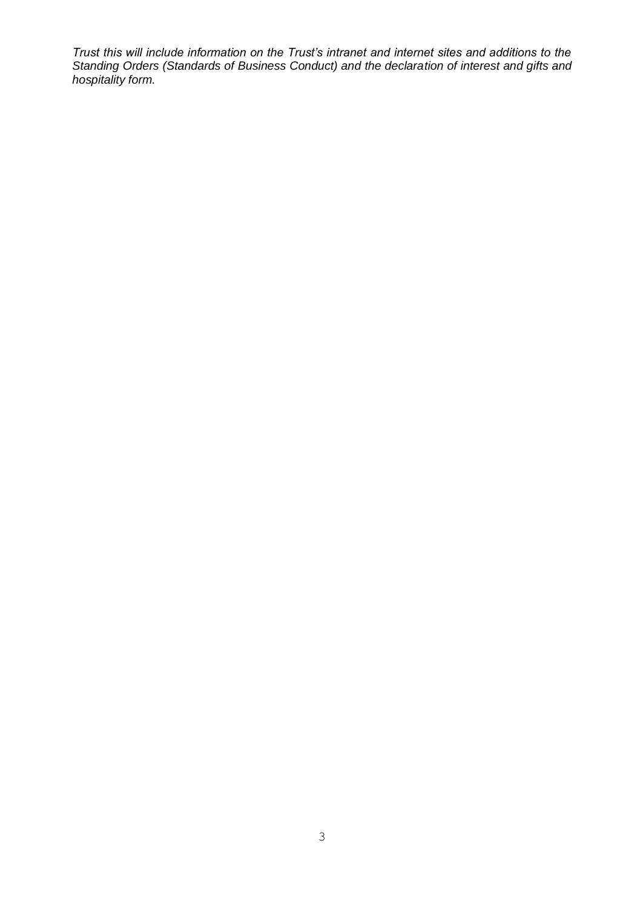*Trust this will include information on the Trust's intranet and internet sites and additions to the Standing Orders (Standards of Business Conduct) and the declaration of interest and gifts and hospitality form.*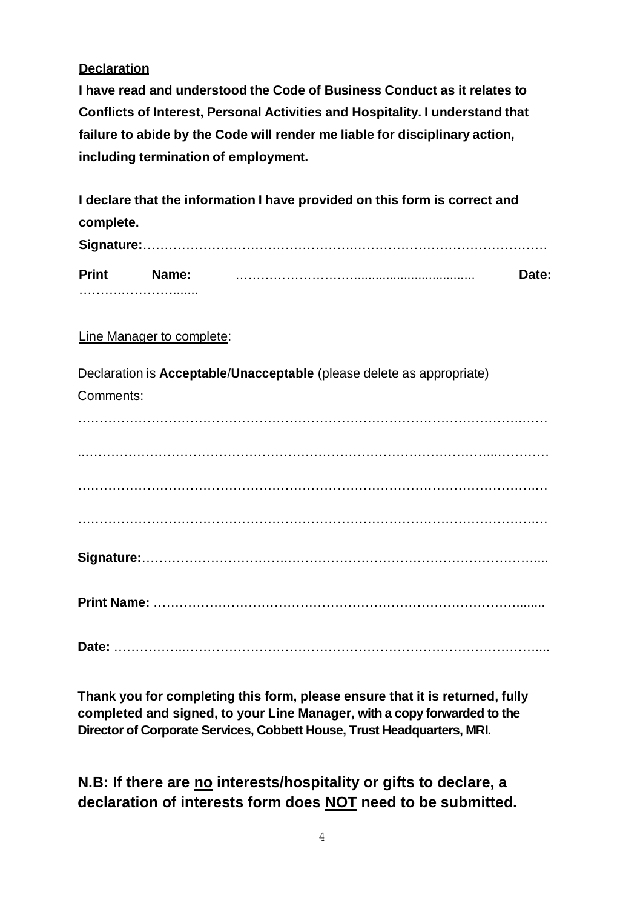# **Declaration**

**I have read and understood the Code of Business Conduct as it relates to Conflicts of Interest, Personal Activities and Hospitality. I understand that failure to abide by the Code will render me liable for disciplinary action, including termination of employment.**

**I declare that the information I have provided on this form is correct and complete. Signature:**………………………………………….……………………………………… **Print Name:** …………………….….................................. **Date:** ……….………….......

## Line Manager to complete:

Declaration is **Acceptable**/**Unacceptable** (please delete as appropriate) Comments: ………………………………………………………………………………………….……

..…………………………………………………………………………………...………… …………………………………………………………………………………………….… …………………………………………………………………………………………….… **Signature:**…………………………….………………………………………………….... **Print Name:** …………………………………………………………………………........

**Date:** ……………..………………………………………………………………………....

**Thank you for completing this form, please ensure that it is returned, fully completed and signed, to your Line Manager, with a copy forwarded to the Director of Corporate Services, Cobbett House, Trust Headquarters, MRI.** 

**N.B: If there are no interests/hospitality or gifts to declare, a declaration of interests form does NOT need to be submitted.**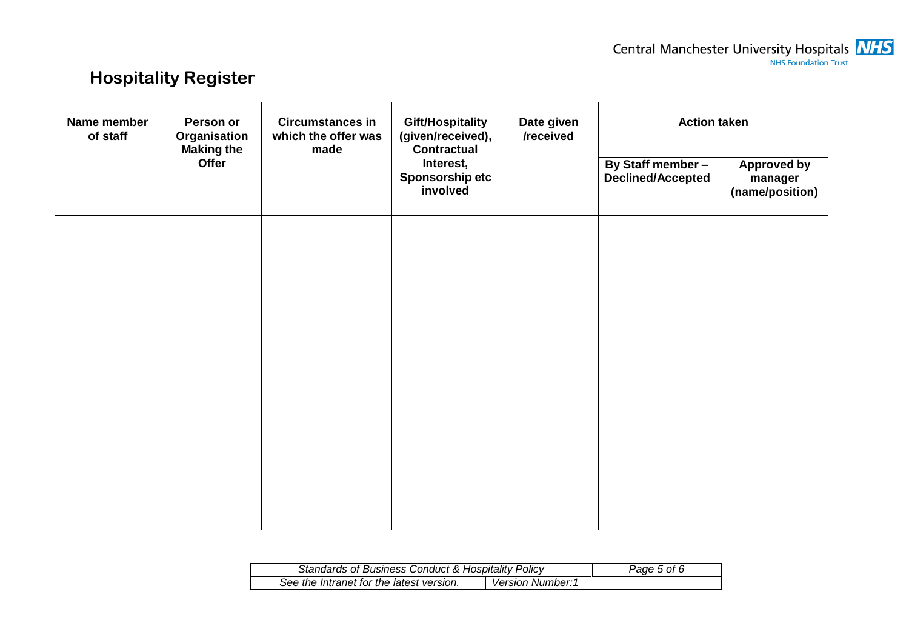# **Hospitality Register**

| <b>Circumstances in</b><br>Name member<br>Person or<br><b>Gift/Hospitality</b><br>of staff<br>(given/received),<br>Organisation<br>which the offer was<br><b>Making the</b><br><b>Contractual</b><br>made | Date given<br>/received | <b>Action taken</b>                      |  |                                               |                                                  |
|-----------------------------------------------------------------------------------------------------------------------------------------------------------------------------------------------------------|-------------------------|------------------------------------------|--|-----------------------------------------------|--------------------------------------------------|
|                                                                                                                                                                                                           | Offer                   | Interest,<br>Sponsorship etc<br>involved |  | By Staff member -<br><b>Declined/Accepted</b> | <b>Approved by</b><br>manager<br>(name/position) |
|                                                                                                                                                                                                           |                         |                                          |  |                                               |                                                  |
|                                                                                                                                                                                                           |                         |                                          |  |                                               |                                                  |
|                                                                                                                                                                                                           |                         |                                          |  |                                               |                                                  |
|                                                                                                                                                                                                           |                         |                                          |  |                                               |                                                  |
|                                                                                                                                                                                                           |                         |                                          |  |                                               |                                                  |
|                                                                                                                                                                                                           |                         |                                          |  |                                               |                                                  |

| <b>Standards of Business Conduct &amp; Hospitality Policy</b> | Page 5 of 6             |  |
|---------------------------------------------------------------|-------------------------|--|
| See the Intranet for the latest version.                      | <b>Version Number:1</b> |  |